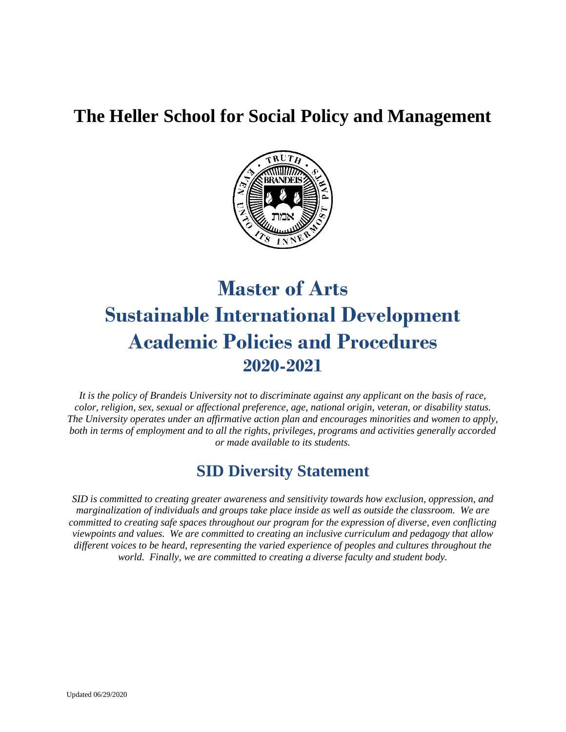# **The Heller School for Social Policy and Management**



# **Master of Arts Sustainable International Development Academic Policies and Procedures 2020-2021**

*It is the policy of Brandeis University not to discriminate against any applicant on the basis of race, color, religion, sex, sexual or affectional preference, age, national origin, veteran, or disability status. The University operates under an affirmative action plan and encourages minorities and women to apply, both in terms of employment and to all the rights, privileges, programs and activities generally accorded or made available to its students.*

# **SID Diversity Statement**

*SID is committed to creating greater awareness and sensitivity towards how exclusion, oppression, and marginalization of individuals and groups take place inside as well as outside the classroom. We are committed to creating safe spaces throughout our program for the expression of diverse, even conflicting viewpoints and values. We are committed to creating an inclusive curriculum and pedagogy that allow different voices to be heard, representing the varied experience of peoples and cultures throughout the world. Finally, we are committed to creating a diverse faculty and student body.*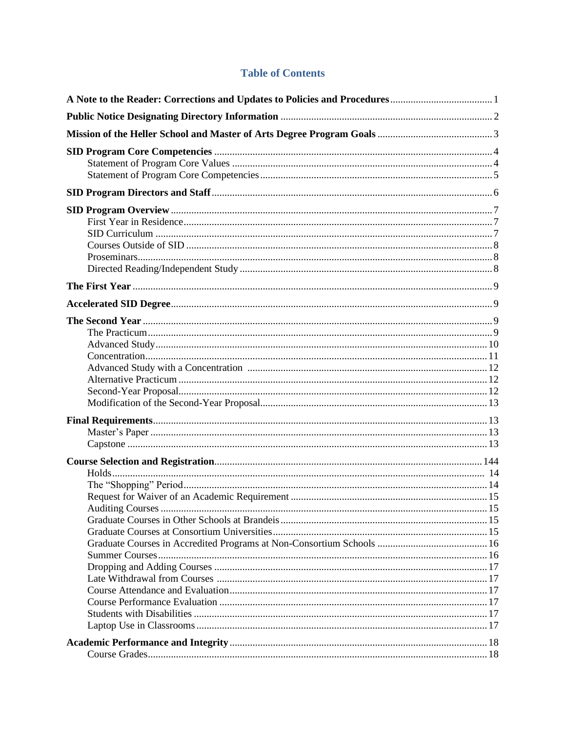# **Table of Contents**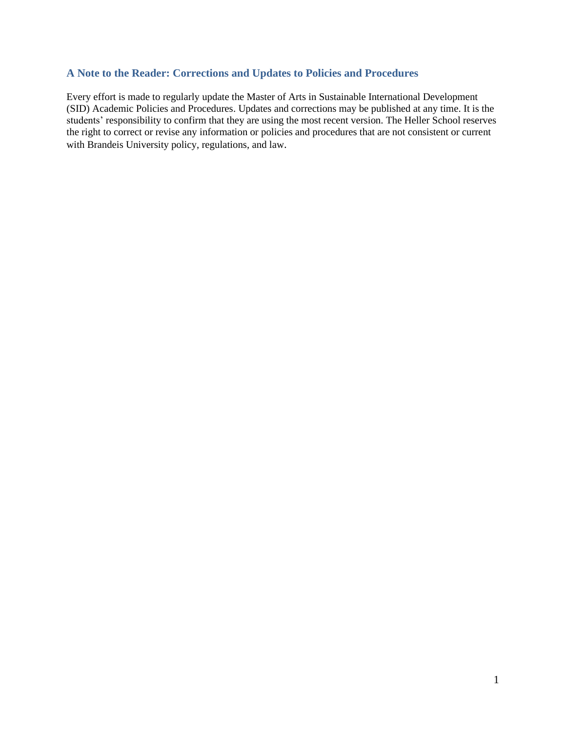# <span id="page-3-0"></span>**A Note to the Reader: Corrections and Updates to Policies and Procedures**

Every effort is made to regularly update the Master of Arts in Sustainable International Development (SID) Academic Policies and Procedures. Updates and corrections may be published at any time. It is the students' responsibility to confirm that they are using the most recent version. The Heller School reserves the right to correct or revise any information or policies and procedures that are not consistent or current with Brandeis University policy, regulations, and law.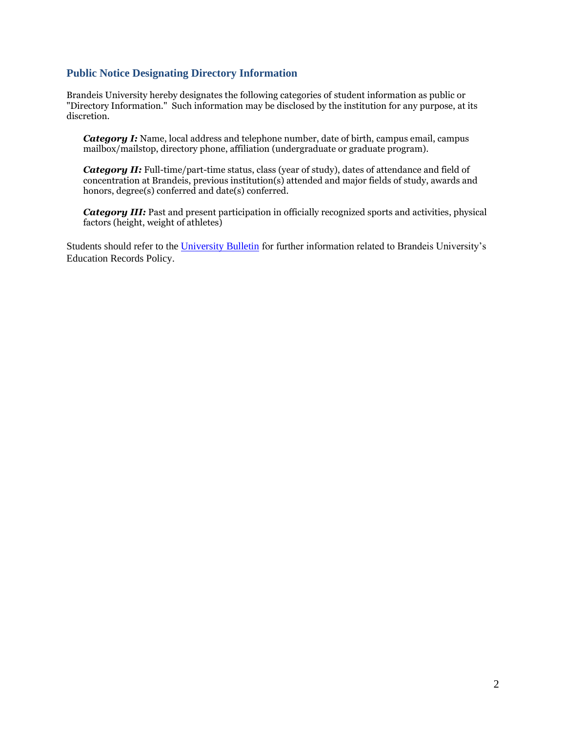#### **Public Notice Designating Directory Information**

Brandeis University hereby designates the following categories of student information as public or "Directory Information." Such information may be disclosed by the institution for any purpose, at its discretion.

*Category I:* Name, local address and telephone number, date of birth, campus email, campus mailbox/mailstop, directory phone, affiliation (undergraduate or graduate program).

*Category II:* Full-time/part-time status, class (year of study), dates of attendance and field of concentration at Brandeis, previous institution(s) attended and major fields of study, awards and honors, degree(s) conferred and date(s) conferred.

*Category III:* Past and present participation in officially recognized sports and activities, physical factors (height, weight of athletes)

Students should refer to th[e University Bulletin](https://www.brandeis.edu/registrar/bulletin/EducRecordsPolicy.html) for further information related to Brandeis University's Education Records Policy.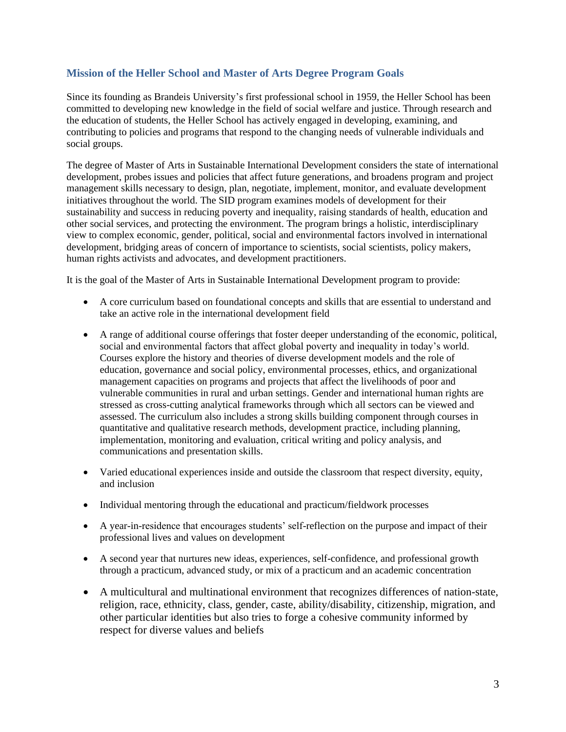# <span id="page-5-0"></span>**Mission of the Heller School and Master of Arts Degree Program Goals**

Since its founding as Brandeis University's first professional school in 1959, the Heller School has been committed to developing new knowledge in the field of social welfare and justice. Through research and the education of students, the Heller School has actively engaged in developing, examining, and contributing to policies and programs that respond to the changing needs of vulnerable individuals and social groups.

The degree of Master of Arts in Sustainable International Development considers the state of international development, probes issues and policies that affect future generations, and broadens program and project management skills necessary to design, plan, negotiate, implement, monitor, and evaluate development initiatives throughout the world. The SID program examines models of development for their sustainability and success in reducing poverty and inequality, raising standards of health, education and other social services, and protecting the environment. The program brings a holistic, interdisciplinary view to complex economic, gender, political, social and environmental factors involved in international development, bridging areas of concern of importance to scientists, social scientists, policy makers, human rights activists and advocates, and development practitioners.

It is the goal of the Master of Arts in Sustainable International Development program to provide:

- A core curriculum based on foundational concepts and skills that are essential to understand and take an active role in the international development field
- A range of additional course offerings that foster deeper understanding of the economic, political, social and environmental factors that affect global poverty and inequality in today's world. Courses explore the history and theories of diverse development models and the role of education, governance and social policy, environmental processes, ethics, and organizational management capacities on programs and projects that affect the livelihoods of poor and vulnerable communities in rural and urban settings. Gender and international human rights are stressed as cross-cutting analytical frameworks through which all sectors can be viewed and assessed. The curriculum also includes a strong skills building component through courses in quantitative and qualitative research methods, development practice, including planning, implementation, monitoring and evaluation, critical writing and policy analysis, and communications and presentation skills.
- Varied educational experiences inside and outside the classroom that respect diversity, equity, and inclusion
- Individual mentoring through the educational and practicum/fieldwork processes
- A year-in-residence that encourages students' self-reflection on the purpose and impact of their professional lives and values on development
- A second year that nurtures new ideas, experiences, self-confidence, and professional growth through a practicum, advanced study, or mix of a practicum and an academic concentration
- A multicultural and multinational environment that recognizes differences of nation-state, religion, race, ethnicity, class, gender, caste, ability/disability, citizenship, migration, and other particular identities but also tries to forge a cohesive community informed by respect for diverse values and beliefs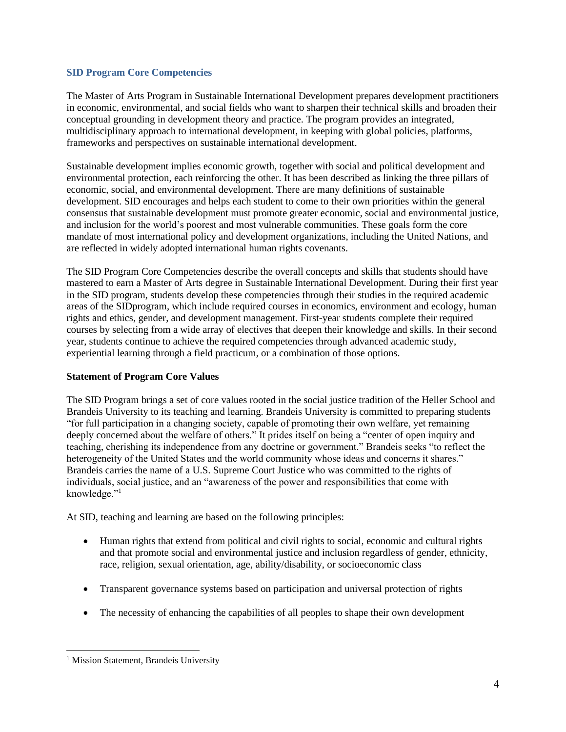#### <span id="page-6-0"></span>**SID Program Core Competencies**

The Master of Arts Program in Sustainable International Development prepares development practitioners in economic, environmental, and social fields who want to sharpen their technical skills and broaden their conceptual grounding in development theory and practice. The program provides an integrated, multidisciplinary approach to international development, in keeping with global policies, platforms, frameworks and perspectives on sustainable international development.

Sustainable development implies economic growth, together with social and political development and environmental protection, each reinforcing the other. It has been described as linking the three pillars of economic, social, and environmental development. There are many definitions of sustainable development. SID encourages and helps each student to come to their own priorities within the general consensus that sustainable development must promote greater economic, social and environmental justice, and inclusion for the world's poorest and most vulnerable communities. These goals form the core mandate of most international policy and development organizations, including the United Nations, and are reflected in widely adopted international human rights covenants.

The SID Program Core Competencies describe the overall concepts and skills that students should have mastered to earn a Master of Arts degree in Sustainable International Development. During their first year in the SID program, students develop these competencies through their studies in the required academic areas of the SIDprogram, which include required courses in economics, environment and ecology, human rights and ethics, gender, and development management. First-year students complete their required courses by selecting from a wide array of electives that deepen their knowledge and skills. In their second year, students continue to achieve the required competencies through advanced academic study, experiential learning through a field practicum, or a combination of those options.

# <span id="page-6-1"></span>**Statement of Program Core Values**

The SID Program brings a set of core values rooted in the social justice tradition of the Heller School and Brandeis University to its teaching and learning. Brandeis University is committed to preparing students "for full participation in a changing society, capable of promoting their own welfare, yet remaining deeply concerned about the welfare of others." It prides itself on being a "center of open inquiry and teaching, cherishing its independence from any doctrine or government." Brandeis seeks "to reflect the heterogeneity of the United States and the world community whose ideas and concerns it shares." Brandeis carries the name of a U.S. Supreme Court Justice who was committed to the rights of individuals, social justice, and an "awareness of the power and responsibilities that come with knowledge."<sup>1</sup>

At SID, teaching and learning are based on the following principles:

- Human rights that extend from political and civil rights to social, economic and cultural rights and that promote social and environmental justice and inclusion regardless of gender, ethnicity, race, religion, sexual orientation, age, ability/disability, or socioeconomic class
- Transparent governance systems based on participation and universal protection of rights
- The necessity of enhancing the capabilities of all peoples to shape their own development

<sup>&</sup>lt;sup>1</sup> Mission Statement, Brandeis University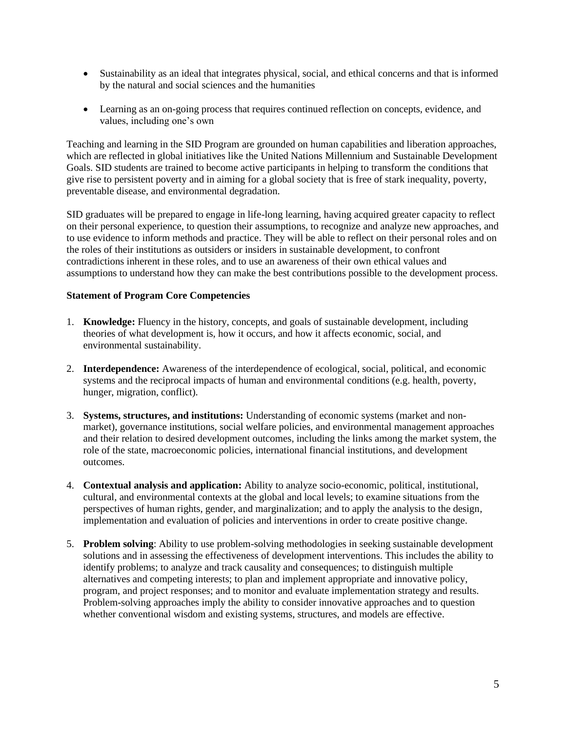- Sustainability as an ideal that integrates physical, social, and ethical concerns and that is informed by the natural and social sciences and the humanities
- Learning as an on-going process that requires continued reflection on concepts, evidence, and values, including one's own

Teaching and learning in the SID Program are grounded on human capabilities and liberation approaches, which are reflected in global initiatives like the United Nations Millennium and Sustainable Development Goals. SID students are trained to become active participants in helping to transform the conditions that give rise to persistent poverty and in aiming for a global society that is free of stark inequality, poverty, preventable disease, and environmental degradation.

SID graduates will be prepared to engage in life-long learning, having acquired greater capacity to reflect on their personal experience, to question their assumptions, to recognize and analyze new approaches, and to use evidence to inform methods and practice. They will be able to reflect on their personal roles and on the roles of their institutions as outsiders or insiders in sustainable development, to confront contradictions inherent in these roles, and to use an awareness of their own ethical values and assumptions to understand how they can make the best contributions possible to the development process.

#### <span id="page-7-0"></span>**Statement of Program Core Competencies**

- 1. **Knowledge:** Fluency in the history, concepts, and goals of sustainable development, including theories of what development is, how it occurs, and how it affects economic, social, and environmental sustainability.
- 2. **Interdependence:** Awareness of the interdependence of ecological, social, political, and economic systems and the reciprocal impacts of human and environmental conditions (e.g. health, poverty, hunger, migration, conflict).
- 3. **Systems, structures, and institutions:** Understanding of economic systems (market and nonmarket), governance institutions, social welfare policies, and environmental management approaches and their relation to desired development outcomes, including the links among the market system, the role of the state, macroeconomic policies, international financial institutions, and development outcomes.
- 4. **Contextual analysis and application:** Ability to analyze socio-economic, political, institutional, cultural, and environmental contexts at the global and local levels; to examine situations from the perspectives of human rights, gender, and marginalization; and to apply the analysis to the design, implementation and evaluation of policies and interventions in order to create positive change.
- 5. **Problem solving**: Ability to use problem-solving methodologies in seeking sustainable development solutions and in assessing the effectiveness of development interventions. This includes the ability to identify problems; to analyze and track causality and consequences; to distinguish multiple alternatives and competing interests; to plan and implement appropriate and innovative policy, program, and project responses; and to monitor and evaluate implementation strategy and results. Problem-solving approaches imply the ability to consider innovative approaches and to question whether conventional wisdom and existing systems, structures, and models are effective.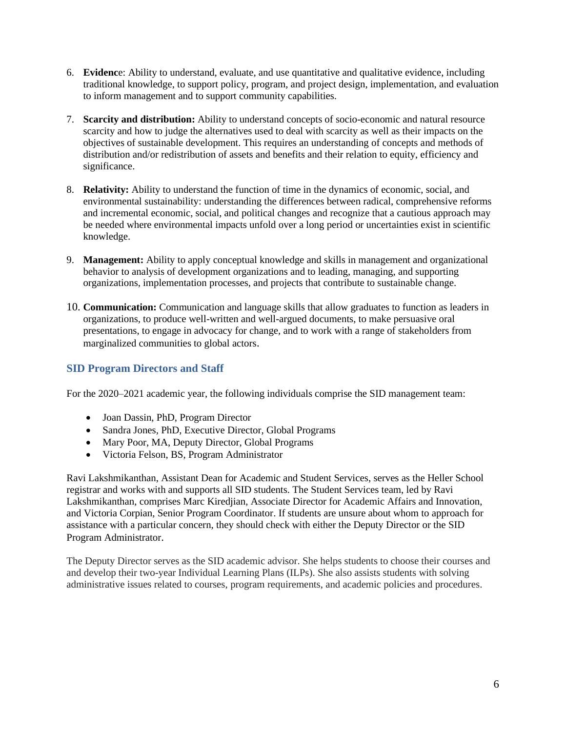- 6. **Evidenc**e: Ability to understand, evaluate, and use quantitative and qualitative evidence, including traditional knowledge, to support policy, program, and project design, implementation, and evaluation to inform management and to support community capabilities.
- 7. **Scarcity and distribution:** Ability to understand concepts of socio-economic and natural resource scarcity and how to judge the alternatives used to deal with scarcity as well as their impacts on the objectives of sustainable development. This requires an understanding of concepts and methods of distribution and/or redistribution of assets and benefits and their relation to equity, efficiency and significance.
- 8. **Relativity:** Ability to understand the function of time in the dynamics of economic, social, and environmental sustainability: understanding the differences between radical, comprehensive reforms and incremental economic, social, and political changes and recognize that a cautious approach may be needed where environmental impacts unfold over a long period or uncertainties exist in scientific knowledge.
- 9. **Management:** Ability to apply conceptual knowledge and skills in management and organizational behavior to analysis of development organizations and to leading, managing, and supporting organizations, implementation processes, and projects that contribute to sustainable change.
- 10. **Communication:** Communication and language skills that allow graduates to function as leaders in organizations, to produce well-written and well-argued documents, to make persuasive oral presentations, to engage in advocacy for change, and to work with a range of stakeholders from marginalized communities to global actors.

# <span id="page-8-0"></span>**SID Program Directors and Staff**

For the 2020–2021 academic year, the following individuals comprise the SID management team:

- Joan Dassin, PhD, Program Director
- Sandra Jones, PhD, Executive Director, Global Programs
- Mary Poor, MA, Deputy Director, Global Programs
- Victoria Felson, BS, Program Administrator

Ravi Lakshmikanthan, Assistant Dean for Academic and Student Services, serves as the Heller School registrar and works with and supports all SID students. The Student Services team, led by Ravi Lakshmikanthan, comprises Marc Kiredjian, Associate Director for Academic Affairs and Innovation, and Victoria Corpian, Senior Program Coordinator. If students are unsure about whom to approach for assistance with a particular concern, they should check with either the Deputy Director or the SID Program Administrator.

<span id="page-8-1"></span>The Deputy Director serves as the SID academic advisor. She helps students to choose their courses and and develop their two-year Individual Learning Plans (ILPs). She also assists students with solving administrative issues related to courses, program requirements, and academic policies and procedures.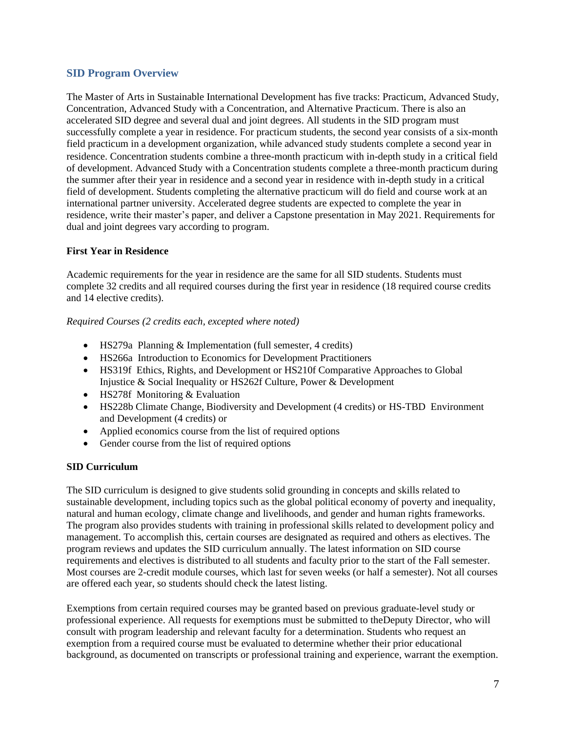# **SID Program Overview**

The Master of Arts in Sustainable International Development has five tracks: Practicum, Advanced Study, Concentration, Advanced Study with a Concentration, and Alternative Practicum. There is also an accelerated SID degree and several dual and joint degrees. All students in the SID program must successfully complete a year in residence. For practicum students, the second year consists of a six-month field practicum in a development organization, while advanced study students complete a second year in residence. Concentration students combine a three-month practicum with in-depth study in a critical field of development. Advanced Study with a Concentration students complete a three-month practicum during the summer after their year in residence and a second year in residence with in-depth study in a critical field of development. Students completing the alternative practicum will do field and course work at an international partner university. Accelerated degree students are expected to complete the year in residence, write their master's paper, and deliver a Capstone presentation in May 2021. Requirements for dual and joint degrees vary according to program.

#### <span id="page-9-0"></span>**First Year in Residence**

Academic requirements for the year in residence are the same for all SID students. Students must complete 32 credits and all required courses during the first year in residence (18 required course credits and 14 elective credits).

#### *Required Courses (2 credits each, excepted where noted)*

- HS279a Planning & Implementation (full semester, 4 credits)
- HS266a Introduction to Economics for Development Practitioners
- HS319f Ethics, Rights, and Development or HS210f Comparative Approaches to Global Injustice & Social Inequality or HS262f Culture, Power & Development
- HS278f Monitoring & Evaluation
- HS228b Climate Change, Biodiversity and Development (4 credits) or HS-TBD Environment and Development (4 credits) or
- Applied economics course from the list of required options
- Gender course from the list of required options

#### <span id="page-9-1"></span>**SID Curriculum**

The SID curriculum is designed to give students solid grounding in concepts and skills related to sustainable development, including topics such as the global political economy of poverty and inequality, natural and human ecology, climate change and livelihoods, and gender and human rights frameworks. The program also provides students with training in professional skills related to development policy and management. To accomplish this, certain courses are designated as required and others as electives. The program reviews and updates the SID curriculum annually. The latest information on SID course requirements and electives is distributed to all students and faculty prior to the start of the Fall semester. Most courses are 2-credit module courses, which last for seven weeks (or half a semester). Not all courses are offered each year, so students should check the latest listing.

Exemptions from certain required courses may be granted based on previous graduate-level study or professional experience. All requests for exemptions must be submitted to theDeputy Director, who will consult with program leadership and relevant faculty for a determination. Students who request an exemption from a required course must be evaluated to determine whether their prior educational background, as documented on transcripts or professional training and experience, warrant the exemption.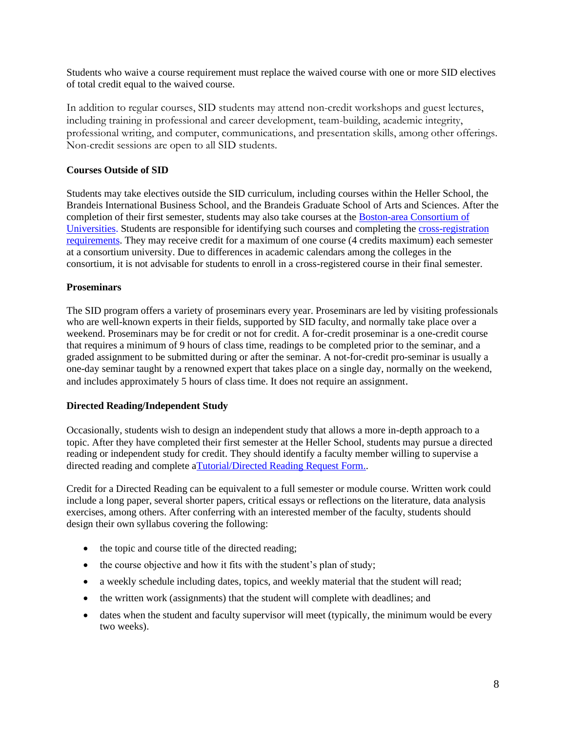Students who waive a course requirement must replace the waived course with one or more SID electives of total credit equal to the waived course.

In addition to regular courses, SID students may attend non-credit workshops and guest lectures, including training in professional and career development, team-building, academic integrity, professional writing, and computer, communications, and presentation skills, among other offerings. Non-credit sessions are open to all SID students.

#### <span id="page-10-0"></span>**Courses Outside of SID**

Students may take electives outside the SID curriculum, including courses within the Heller School, the Brandeis International Business School, and the Brandeis Graduate School of Arts and Sciences. After the completion of their first semester, students may also take courses at the [Boston-area Consortium of](https://www.brandeis.edu/gsas/current/cross.html)  [Universities.](https://www.brandeis.edu/gsas/current/cross.html) Students are responsible for identifying such courses and completing th[e cross-registration](https://brandeis.edu/registrar/registration/consortium.html)  [requirements.](https://brandeis.edu/registrar/registration/consortium.html) They may receive credit for a maximum of one course (4 credits maximum) each semester at a consortium university. Due to differences in academic calendars among the colleges in the consortium, it is not advisable for students to enroll in a cross-registered course in their final semester.

#### <span id="page-10-1"></span>**Proseminars**

The SID program offers a variety of proseminars every year. Proseminars are led by visiting professionals who are well-known experts in their fields, supported by SID faculty, and normally take place over a weekend. Proseminars may be for credit or not for credit. A for-credit proseminar is a one-credit course that requires a minimum of 9 hours of class time, readings to be completed prior to the seminar, and a graded assignment to be submitted during or after the seminar. A not-for-credit pro-seminar is usually a one-day seminar taught by a renowned expert that takes place on a single day, normally on the weekend, and includes approximately 5 hours of class time. It does not require an assignment.

#### <span id="page-10-2"></span>**Directed Reading/Independent Study**

Occasionally, students wish to design an independent study that allows a more in-depth approach to a topic. After they have completed their first semester at the Heller School, students may pursue a directed reading or independent study for credit. They should identify a faculty member willing to supervise a directed reading and complete [aTutorial/Directed Reading Request Form..](https://www.brandeis.edu/heller/heller/students/courses/pdfs/MA-Directed-Readings.pdf)

Credit for a Directed Reading can be equivalent to a full semester or module course. Written work could include a long paper, several shorter papers, critical essays or reflections on the literature, data analysis exercises, among others. After conferring with an interested member of the faculty, students should design their own syllabus covering the following:

- the topic and course title of the directed reading;
- the course objective and how it fits with the student's plan of study;
- a weekly schedule including dates, topics, and weekly material that the student will read;
- the written work (assignments) that the student will complete with deadlines; and
- dates when the student and faculty supervisor will meet (typically, the minimum would be every two weeks).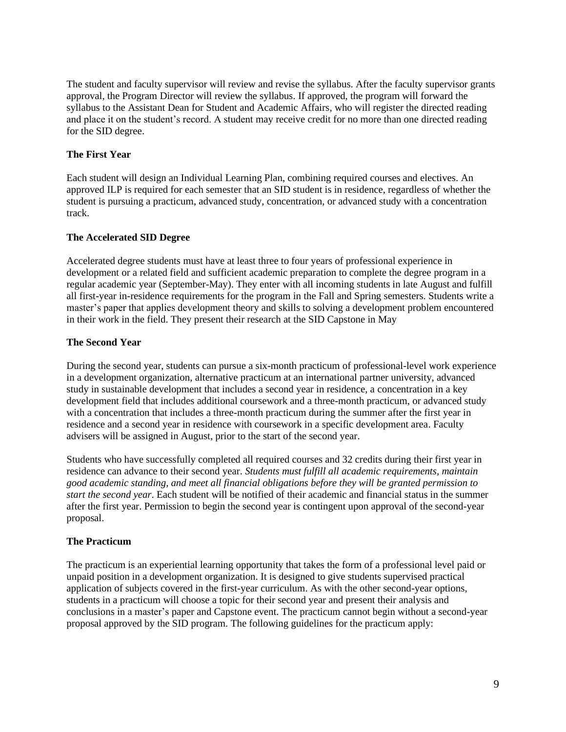The student and faculty supervisor will review and revise the syllabus. After the faculty supervisor grants approval, the Program Director will review the syllabus. If approved, the program will forward the syllabus to the Assistant Dean for Student and Academic Affairs, who will register the directed reading and place it on the student's record. A student may receive credit for no more than one directed reading for the SID degree.

#### <span id="page-11-0"></span>**The First Year**

Each student will design an Individual Learning Plan, combining required courses and electives. An approved ILP is required for each semester that an SID student is in residence, regardless of whether the student is pursuing a practicum, advanced study, concentration, or advanced study with a concentration track.

#### **The Accelerated SID Degree**

Accelerated degree students must have at least three to four years of professional experience in development or a related field and sufficient academic preparation to complete the degree program in a regular academic year (September-May). They enter with all incoming students in late August and fulfill all first-year in-residence requirements for the program in the Fall and Spring semesters. Students write a master's paper that applies development theory and skills to solving a development problem encountered in their work in the field. They present their research at the SID Capstone in May

#### <span id="page-11-1"></span>**The Second Year**

During the second year, students can pursue a six-month practicum of professional-level work experience in a development organization, alternative practicum at an international partner university, advanced study in sustainable development that includes a second year in residence, a concentration in a key development field that includes additional coursework and a three-month practicum, or advanced study with a concentration that includes a three-month practicum during the summer after the first year in residence and a second year in residence with coursework in a specific development area. Faculty advisers will be assigned in August, prior to the start of the second year.

Students who have successfully completed all required courses and 32 credits during their first year in residence can advance to their second year. *Students must fulfill all academic requirements, maintain good academic standing, and meet all financial obligations before they will be granted permission to start the second year*. Each student will be notified of their academic and financial status in the summer after the first year. Permission to begin the second year is contingent upon approval of the second-year proposal.

# <span id="page-11-2"></span>**The Practicum**

The practicum is an experiential learning opportunity that takes the form of a professional level paid or unpaid position in a development organization. It is designed to give students supervised practical application of subjects covered in the first-year curriculum. As with the other second-year options, students in a practicum will choose a topic for their second year and present their analysis and conclusions in a master's paper and Capstone event. The practicum cannot begin without a second-year proposal approved by the SID program. The following guidelines for the practicum apply: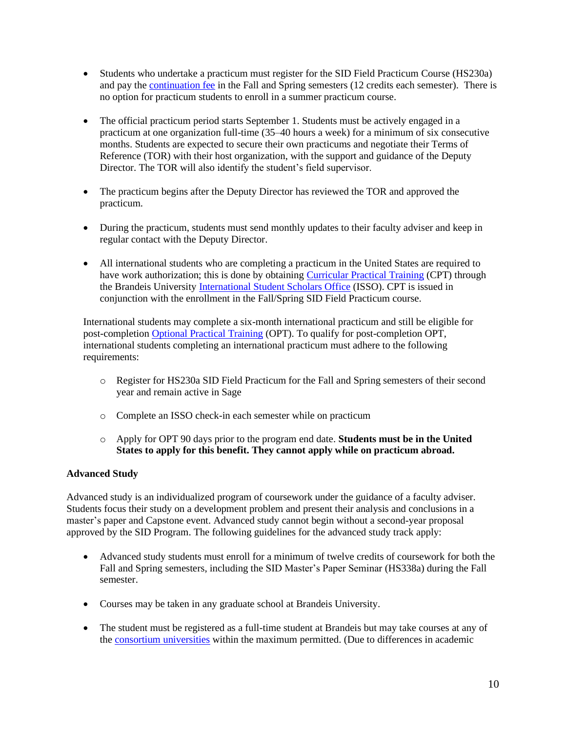- Students who undertake a practicum must register for the SID Field Practicum Course (HS230a) and pay the [continuation fee](https://heller.brandeis.edu/admissions/financial-aid/cost.html) in the Fall and Spring semesters (12 credits each semester). There is no option for practicum students to enroll in a summer practicum course.
- The official practicum period starts September 1. Students must be actively engaged in a practicum at one organization full-time (35–40 hours a week) for a minimum of six consecutive months. Students are expected to secure their own practicums and negotiate their Terms of Reference (TOR) with their host organization, with the support and guidance of the Deputy Director. The TOR will also identify the student's field supervisor.
- The practicum begins after the Deputy Director has reviewed the TOR and approved the practicum.
- During the practicum, students must send monthly updates to their faculty adviser and keep in regular contact with the Deputy Director.
- All international students who are completing a practicum in the United States are required to have work authorization; this is done by obtaining Curricular [Practical Training](https://www.brandeis.edu/isso/current/employment/curricular-practical-training.html) (CPT) through the Brandeis University [International Student Scholars Office](https://www.brandeis.edu/isso/) (ISSO). CPT is issued in conjunction with the enrollment in the Fall/Spring SID Field Practicum course.

International students may complete a six-month international practicum and still be eligible for post-completion [Optional Practical](http://www.brandeis.edu/isso/current/employment/opt/) Training (OPT). To qualify for post-completion OPT, international students completing an international practicum must adhere to the following requirements:

- o Register for HS230a SID Field Practicum for the Fall and Spring semesters of their second year and remain active in Sage
- o Complete an ISSO check-in each semester while on practicum
- o Apply for OPT 90 days prior to the program end date. **Students must be in the United States to apply for this benefit. They cannot apply while on practicum abroad.**

# <span id="page-12-0"></span>**Advanced Study**

Advanced study is an individualized program of coursework under the guidance of a faculty adviser. Students focus their study on a development problem and present their analysis and conclusions in a master's paper and Capstone event. Advanced study cannot begin without a second-year proposal approved by the SID Program. The following guidelines for the advanced study track apply:

- Advanced study students must enroll for a minimum of twelve credits of coursework for both the Fall and Spring semesters, including the SID Master's Paper Seminar (HS338a) during the Fall semester.
- Courses may be taken in any graduate school at Brandeis University.
- The student must be registered as a full-time student at Brandeis but may take courses at any of the [consortium universities](https://heller.brandeis.edu/students/courses/consortium.html) within the maximum permitted. (Due to differences in academic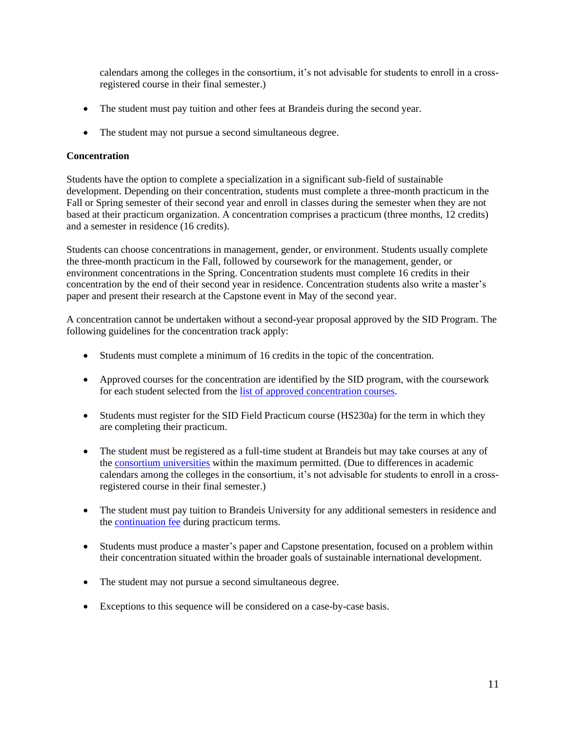calendars among the colleges in the consortium, it's not advisable for students to enroll in a crossregistered course in their final semester.)

- The student must pay tuition and other fees at Brandeis during the second year.
- The student may not pursue a second simultaneous degree.

#### <span id="page-13-0"></span>**Concentration**

Students have the option to complete a specialization in a significant sub-field of sustainable development. Depending on their concentration, students must complete a three-month practicum in the Fall or Spring semester of their second year and enroll in classes during the semester when they are not based at their practicum organization. A concentration comprises a practicum (three months, 12 credits) and a semester in residence (16 credits).

Students can choose concentrations in management, gender, or environment. Students usually complete the three-month practicum in the Fall, followed by coursework for the management, gender, or environment concentrations in the Spring. Concentration students must complete 16 credits in their concentration by the end of their second year in residence. Concentration students also write a master's paper and present their research at the Capstone event in May of the second year.

A concentration cannot be undertaken without a second-year proposal approved by the SID Program. The following guidelines for the concentration track apply:

- Students must complete a minimum of 16 credits in the topic of the concentration.
- Approved courses for the concentration are identified by the SID program, with the coursework for each student selected from the [list of approved concentration courses.](http://heller.brandeis.edu/sustainable-international-development/second-year/concentrations.html)
- Students must register for the SID Field Practicum course (HS230a) for the term in which they are completing their practicum.
- The student must be registered as a full-time student at Brandeis but may take courses at any of the [consortium](https://heller.brandeis.edu/students/courses/consortium.html) universities within the maximum permitted. (Due to differences in academic calendars among the colleges in the consortium, it's not advisable for students to enroll in a crossregistered course in their final semester.)
- The student must pay tuition to Brandeis University for any additional semesters in residence and the [continuation fee](https://heller.brandeis.edu/admissions/financial-aid/cost.html) during practicum terms.
- Students must produce a master's paper and Capstone presentation, focused on a problem within their concentration situated within the broader goals of sustainable international development.
- The student may not pursue a second simultaneous degree.
- Exceptions to this sequence will be considered on a case-by-case basis.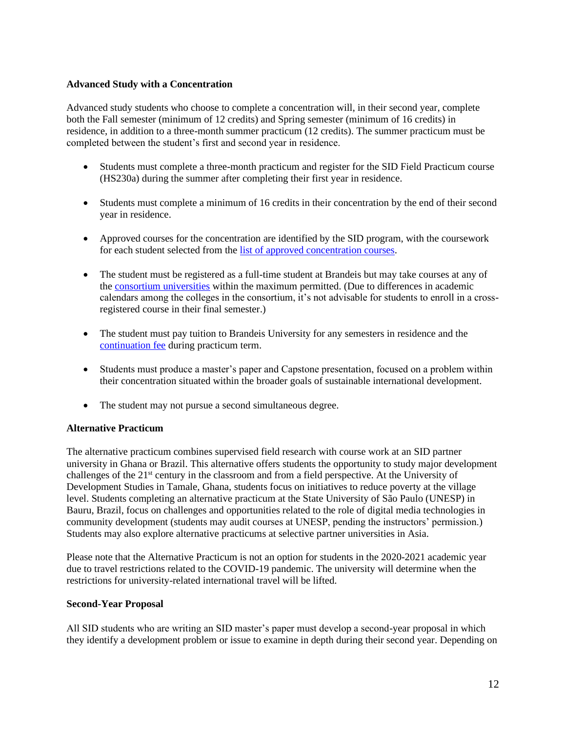#### **Advanced Study with a Concentration**

Advanced study students who choose to complete a concentration will, in their second year, complete both the Fall semester (minimum of 12 credits) and Spring semester (minimum of 16 credits) in residence, in addition to a three-month summer practicum (12 credits). The summer practicum must be completed between the student's first and second year in residence.

- Students must complete a three-month practicum and register for the SID Field Practicum course (HS230a) during the summer after completing their first year in residence.
- Students must complete a minimum of 16 credits in their concentration by the end of their second year in residence.
- Approved courses for the concentration are identified by the SID program, with the coursework for each student selected from the [list of approved concentration courses.](http://heller.brandeis.edu/sustainable-international-development/second-year/concentrations.html)
- The student must be registered as a full-time student at Brandeis but may take courses at any of the [consortium universities](https://heller.brandeis.edu/students/courses/consortium.html) within the maximum permitted. (Due to differences in academic calendars among the colleges in the consortium, it's not advisable for students to enroll in a crossregistered course in their final semester.)
- The student must pay tuition to Brandeis University for any semesters in residence and the [continuation fee](https://heller.brandeis.edu/admissions/financial-aid/cost.html) during practicum term.
- Students must produce a master's paper and Capstone presentation, focused on a problem within their concentration situated within the broader goals of sustainable international development.
- The student may not pursue a second simultaneous degree.

#### <span id="page-14-0"></span>**Alternative Practicum**

The alternative practicum combines supervised field research with course work at an SID partner university in Ghana or Brazil. This alternative offers students the opportunity to study major development challenges of the 21st century in the classroom and from a field perspective. At the University of Development Studies in Tamale, Ghana, students focus on initiatives to reduce poverty at the village level. Students completing an alternative practicum at the State University of São Paulo (UNESP) in Bauru, Brazil, focus on challenges and opportunities related to the role of digital media technologies in community development (students may audit courses at UNESP, pending the instructors' permission.) Students may also explore alternative practicums at selective partner universities in Asia.

Please note that the Alternative Practicum is not an option for students in the 2020-2021 academic year due to travel restrictions related to the COVID-19 pandemic. The university will determine when the restrictions for university-related international travel will be lifted.

#### <span id="page-14-1"></span>**Second-Year Proposal**

All SID students who are writing an SID master's paper must develop a second-year proposal in which they identify a development problem or issue to examine in depth during their second year. Depending on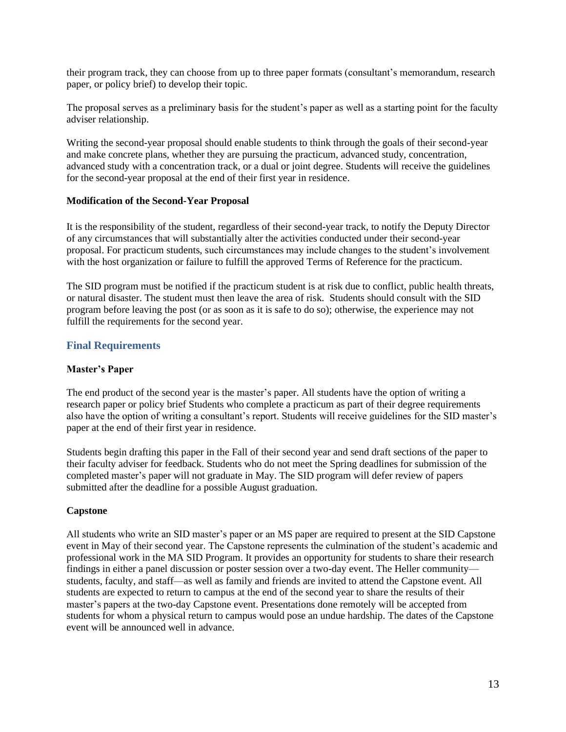their program track, they can choose from up to three paper formats (consultant's memorandum, research paper, or policy brief) to develop their topic.

The proposal serves as a preliminary basis for the student's paper as well as a starting point for the faculty adviser relationship.

Writing the second-year proposal should enable students to think through the goals of their second-year and make concrete plans, whether they are pursuing the practicum, advanced study, concentration, advanced study with a concentration track, or a dual or joint degree. Students will receive the guidelines for the second-year proposal at the end of their first year in residence.

#### <span id="page-15-0"></span>**Modification of the Second-Year Proposal**

It is the responsibility of the student, regardless of their second-year track, to notify the Deputy Director of any circumstances that will substantially alter the activities conducted under their second-year proposal. For practicum students, such circumstances may include changes to the student's involvement with the host organization or failure to fulfill the approved Terms of Reference for the practicum.

The SID program must be notified if the practicum student is at risk due to conflict, public health threats, or natural disaster. The student must then leave the area of risk. Students should consult with the SID program before leaving the post (or as soon as it is safe to do so); otherwise, the experience may not fulfill the requirements for the second year.

#### <span id="page-15-1"></span>**Final Requirements**

#### <span id="page-15-2"></span>**Master's Paper**

The end product of the second year is the master's paper. All students have the option of writing a research paper or policy brief Students who complete a practicum as part of their degree requirements also have the option of writing a consultant's report. Students will receive guidelines for the SID master's paper at the end of their first year in residence.

Students begin drafting this paper in the Fall of their second year and send draft sections of the paper to their faculty adviser for feedback. Students who do not meet the Spring deadlines for submission of the completed master's paper will not graduate in May. The SID program will defer review of papers submitted after the deadline for a possible August graduation.

#### <span id="page-15-3"></span>**Capstone**

<span id="page-15-4"></span>All students who write an SID master's paper or an MS paper are required to present at the SID Capstone event in May of their second year. The Capstone represents the culmination of the student's academic and professional work in the MA SID Program. It provides an opportunity for students to share their research findings in either a panel discussion or poster session over a two-day event. The Heller community students, faculty, and staff—as well as family and friends are invited to attend the Capstone event. All students are expected to return to campus at the end of the second year to share the results of their master's papers at the two-day Capstone event. Presentations done remotely will be accepted from students for whom a physical return to campus would pose an undue hardship. The dates of the Capstone event will be announced well in advance.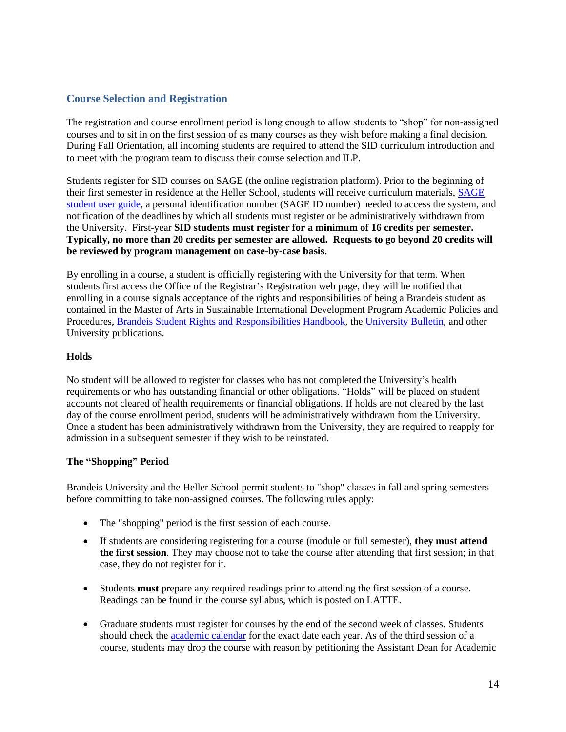# **Course Selection and Registration**

The registration and course enrollment period is long enough to allow students to "shop" for non-assigned courses and to sit in on the first session of as many courses as they wish before making a final decision. During Fall Orientation, all incoming students are required to attend the SID curriculum introduction and to meet with the program team to discuss their course selection and ILP.

Students register for SID courses on SAGE (the online registration platform). Prior to the beginning of their first semester in residence at the Heller School, students will receive curriculum materials, [SAGE](https://www.brandeis.edu/sage/pdfs/student.pdf)  [student user guide,](https://www.brandeis.edu/sage/pdfs/student.pdf) a personal identification number (SAGE ID number) needed to access the system, and notification of the deadlines by which all students must register or be administratively withdrawn from the University. First-year **SID students must register for a minimum of 16 credits per semester. Typically, no more than 20 credits per semester are allowed. Requests to go beyond 20 credits will be reviewed by program management on case-by-case basis.**

By enrolling in a course, a student is officially registering with the University for that term. When students first access the Office of the Registrar's Registration web page, they will be notified that enrolling in a course signals acceptance of the rights and responsibilities of being a Brandeis student as contained in the Master of Arts in Sustainable International Development Program Academic Policies and Procedures, [Brandeis Student Rights and Responsibilities Handbook,](http://www.brandeis.edu/studentlife/srcs/) the [University](http://www.brandeis.edu/registrar/bulletin/provisional/) Bulletin, and other University publications.

#### **Holds**

No student will be allowed to register for classes who has not completed the University's health requirements or who has outstanding financial or other obligations. "Holds" will be placed on student accounts not cleared of health requirements or financial obligations. If holds are not cleared by the last day of the course enrollment period, students will be administratively withdrawn from the University. Once a student has been administratively withdrawn from the University, they are required to reapply for admission in a subsequent semester if they wish to be reinstated.

#### <span id="page-16-0"></span>**The "Shopping" Period**

Brandeis University and the Heller School permit students to "shop" classes in fall and spring semesters before committing to take non-assigned courses. The following rules apply:

- The "shopping" period is the first session of each course.
- If students are considering registering for a course (module or full semester), **they must attend the first session**. They may choose not to take the course after attending that first session; in that case, they do not register for it.
- Students **must** prepare any required readings prior to attending the first session of a course. Readings can be found in the course syllabus, which is posted on LATTE.
- Graduate students must register for courses by the end of the second week of classes. Students should check th[e academic calendar](https://www.brandeis.edu/registrar/calendar/index.html) for the exact date each year. As of the third session of a course, students may drop the course with reason by petitioning the Assistant Dean for Academic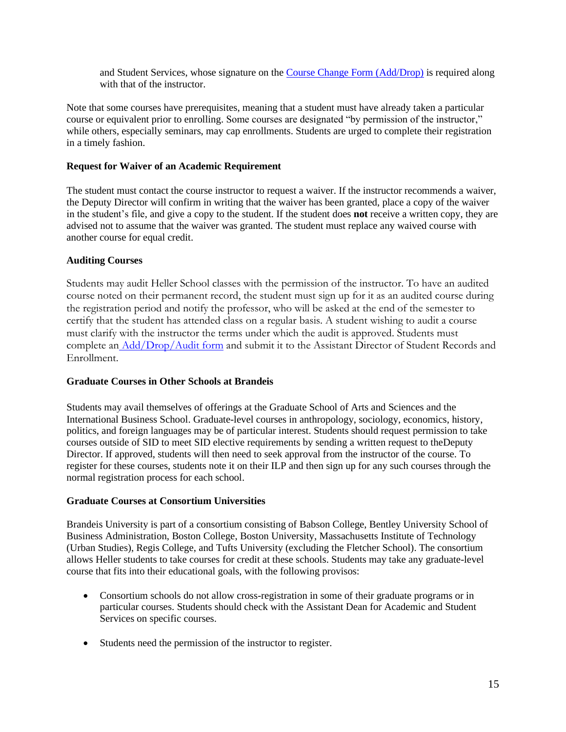and Student Services, whose signature on the [Course Change Form \(Add/Drop\)](https://www.brandeis.edu/registrar/forms/docs/forms/add_drop.pdf) is required along with that of the instructor.

Note that some courses have prerequisites, meaning that a student must have already taken a particular course or equivalent prior to enrolling. Some courses are designated "by permission of the instructor," while others, especially seminars, may cap enrollments. Students are urged to complete their registration in a timely fashion.

#### <span id="page-17-0"></span>**Request for Waiver of an Academic Requirement**

The student must contact the course instructor to request a waiver. If the instructor recommends a waiver, the Deputy Director will confirm in writing that the waiver has been granted, place a copy of the waiver in the student's file, and give a copy to the student. If the student does **not** receive a written copy, they are advised not to assume that the waiver was granted. The student must replace any waived course with another course for equal credit.

#### <span id="page-17-1"></span>**Auditing Courses**

Students may audit Heller School classes with the permission of the instructor. To have an audited course noted on their permanent record, the student must sign up for it as an audited course during the registration period and notify the professor, who will be asked at the end of the semester to certify that the student has attended class on a regular basis. A student wishing to audit a course must clarify with the instructor the terms under which the audit is approved. Students must complete an [Add/Drop/Audit form](https://heller.brandeis.edu/students/courses/pdfs/Add-Drop-Audit-Form.pdf) and submit it to the Assistant Director of Student Records and Enrollment.

# <span id="page-17-2"></span>**Graduate Courses in Other Schools at Brandeis**

Students may avail themselves of offerings at the Graduate School of Arts and Sciences and the International Business School. Graduate-level courses in anthropology, sociology, economics, history, politics, and foreign languages may be of particular interest. Students should request permission to take courses outside of SID to meet SID elective requirements by sending a written request to theDeputy Director. If approved, students will then need to seek approval from the instructor of the course. To register for these courses, students note it on their ILP and then sign up for any such courses through the normal registration process for each school.

#### <span id="page-17-3"></span>**Graduate Courses at Consortium Universities**

Brandeis University is part of a consortium consisting of Babson College, Bentley University School of Business Administration, Boston College, Boston University, Massachusetts Institute of Technology (Urban Studies), Regis College, and Tufts University (excluding the Fletcher School). The consortium allows Heller students to take courses for credit at these schools. Students may take any graduate-level course that fits into their educational goals, with the following provisos:

- Consortium schools do not allow cross-registration in some of their graduate programs or in particular courses. Students should check with the Assistant Dean for Academic and Student Services on specific courses.
- Students need the permission of the instructor to register.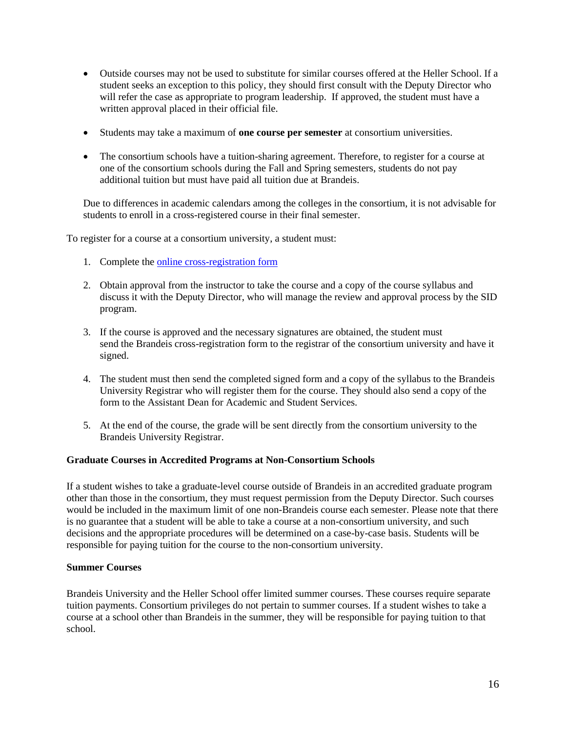- Outside courses may not be used to substitute for similar courses offered at the Heller School. If a student seeks an exception to this policy, they should first consult with the Deputy Director who will refer the case as appropriate to program leadership. If approved, the student must have a written approval placed in their official file.
- Students may take a maximum of **one course per semester** at consortium universities.
- The consortium schools have a tuition-sharing agreement. Therefore, to register for a course at one of the consortium schools during the Fall and Spring semesters, students do not pay additional tuition but must have paid all tuition due at Brandeis.

Due to differences in academic calendars among the colleges in the consortium, it is not advisable for students to enroll in a cross-registered course in their final semester.

To register for a course at a consortium university, a student must:

- 1. Complete th[e online cross-registration form](https://docs.google.com/forms/d/1NPzq248kSp72b5avoqpeMfKOjklSYaHsY1CzKjUUTgk/closedform)
- 2. Obtain approval from the instructor to take the course and a copy of the course syllabus and discuss it with the Deputy Director, who will manage the review and approval process by the SID program.
- 3. If the course is approved and the necessary signatures are obtained, the student must send the Brandeis cross-registration form to the registrar of the consortium university and have it signed.
- 4. The student must then send the completed signed form and a copy of the syllabus to the Brandeis University Registrar who will register them for the course. They should also send a copy of the form to the Assistant Dean for Academic and Student Services.
- 5. At the end of the course, the grade will be sent directly from the consortium university to the Brandeis University Registrar.

#### <span id="page-18-0"></span>**Graduate Courses in Accredited Programs at Non-Consortium Schools**

If a student wishes to take a graduate-level course outside of Brandeis in an accredited graduate program other than those in the consortium, they must request permission from the Deputy Director. Such courses would be included in the maximum limit of one non-Brandeis course each semester. Please note that there is no guarantee that a student will be able to take a course at a non-consortium university, and such decisions and the appropriate procedures will be determined on a case-by-case basis. Students will be responsible for paying tuition for the course to the non-consortium university.

#### <span id="page-18-1"></span>**Summer Courses**

Brandeis University and the Heller School offer limited summer courses. These courses require separate tuition payments. Consortium privileges do not pertain to summer courses. If a student wishes to take a course at a school other than Brandeis in the summer, they will be responsible for paying tuition to that school.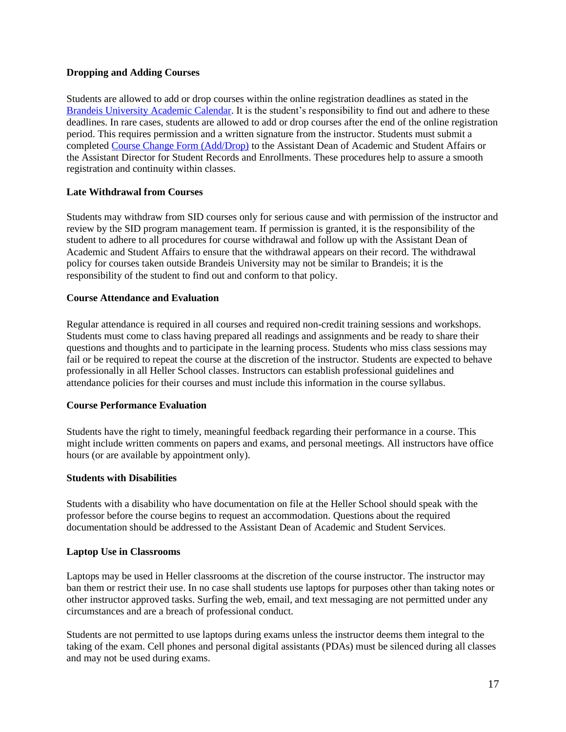#### <span id="page-19-0"></span>**Dropping and Adding Courses**

Students are allowed to add or drop courses within the online registration deadlines as stated in the [Brandeis University Academic Calendar.](https://www.brandeis.edu/registrar/calendar/fall17.html) It is the student's responsibility to find out and adhere to these deadlines. In rare cases, students are allowed to add or drop courses after the end of the online registration period. This requires permission and a written signature from the instructor. Students must submit a completed [Course Change Form](https://www.brandeis.edu/registrar/forms/docs/forms/add_drop.pdf) (Add/Drop) to the Assistant Dean of Academic and Student Affairs or the Assistant Director for Student Records and Enrollments. These procedures help to assure a smooth registration and continuity within classes.

#### **Late Withdrawal from Courses**

Students may withdraw from SID courses only for serious cause and with permission of the instructor and review by the SID program management team. If permission is granted, it is the responsibility of the student to adhere to all procedures for course withdrawal and follow up with the Assistant Dean of Academic and Student Affairs to ensure that the withdrawal appears on their record. The withdrawal policy for courses taken outside Brandeis University may not be similar to Brandeis; it is the responsibility of the student to find out and conform to that policy.

#### <span id="page-19-1"></span>**Course Attendance and Evaluation**

Regular attendance is required in all courses and required non-credit training sessions and workshops. Students must come to class having prepared all readings and assignments and be ready to share their questions and thoughts and to participate in the learning process. Students who miss class sessions may fail or be required to repeat the course at the discretion of the instructor. Students are expected to behave professionally in all Heller School classes. Instructors can establish professional guidelines and attendance policies for their courses and must include this information in the course syllabus.

#### <span id="page-19-2"></span>**Course Performance Evaluation**

Students have the right to timely, meaningful feedback regarding their performance in a course. This might include written comments on papers and exams, and personal meetings. All instructors have office hours (or are available by appointment only).

#### <span id="page-19-3"></span>**Students with Disabilities**

Students with a disability who have documentation on file at the Heller School should speak with the professor before the course begins to request an accommodation. Questions about the required documentation should be addressed to the Assistant Dean of Academic and Student Services.

#### <span id="page-19-4"></span>**Laptop Use in Classrooms**

Laptops may be used in Heller classrooms at the discretion of the course instructor. The instructor may ban them or restrict their use. In no case shall students use laptops for purposes other than taking notes or other instructor approved tasks. Surfing the web, email, and text messaging are not permitted under any circumstances and are a breach of professional conduct.

<span id="page-19-5"></span>Students are not permitted to use laptops during exams unless the instructor deems them integral to the taking of the exam. Cell phones and personal digital assistants (PDAs) must be silenced during all classes and may not be used during exams.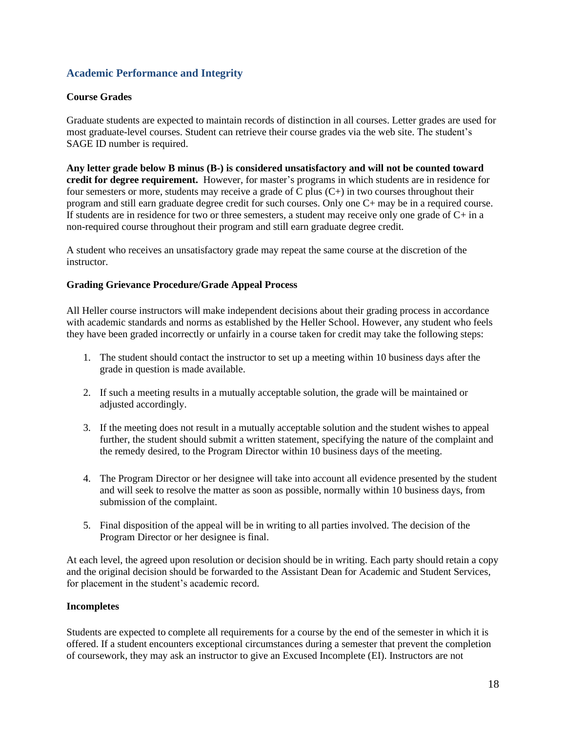# **Academic Performance and Integrity**

#### <span id="page-20-0"></span>**Course Grades**

Graduate students are expected to maintain records of distinction in all courses. Letter grades are used for most graduate-level courses. Student can retrieve their course grades via the web site. The student's SAGE ID number is required.

**Any letter grade below B minus (B-) is considered unsatisfactory and will not be counted toward credit for degree requirement.** However, for master's programs in which students are in residence for four semesters or more, students may receive a grade of C plus (C+) in two courses throughout their program and still earn graduate degree credit for such courses. Only one C+ may be in a required course. If students are in residence for two or three semesters, a student may receive only one grade of  $C+$  in a non-required course throughout their program and still earn graduate degree credit.

A student who receives an unsatisfactory grade may repeat the same course at the discretion of the instructor.

#### <span id="page-20-1"></span>**Grading Grievance Procedure/Grade Appeal Process**

All Heller course instructors will make independent decisions about their grading process in accordance with academic standards and norms as established by the Heller School. However, any student who feels they have been graded incorrectly or unfairly in a course taken for credit may take the following steps:

- 1. The student should contact the instructor to set up a meeting within 10 business days after the grade in question is made available.
- 2. If such a meeting results in a mutually acceptable solution, the grade will be maintained or adjusted accordingly.
- 3. If the meeting does not result in a mutually acceptable solution and the student wishes to appeal further, the student should submit a written statement, specifying the nature of the complaint and the remedy desired, to the Program Director within 10 business days of the meeting.
- 4. The Program Director or her designee will take into account all evidence presented by the student and will seek to resolve the matter as soon as possible, normally within 10 business days, from submission of the complaint.
- 5. Final disposition of the appeal will be in writing to all parties involved. The decision of the Program Director or her designee is final.

At each level, the agreed upon resolution or decision should be in writing. Each party should retain a copy and the original decision should be forwarded to the Assistant Dean for Academic and Student Services, for placement in the student's academic record.

#### <span id="page-20-2"></span>**Incompletes**

Students are expected to complete all requirements for a course by the end of the semester in which it is offered. If a student encounters exceptional circumstances during a semester that prevent the completion of coursework, they may ask an instructor to give an Excused Incomplete (EI). Instructors are not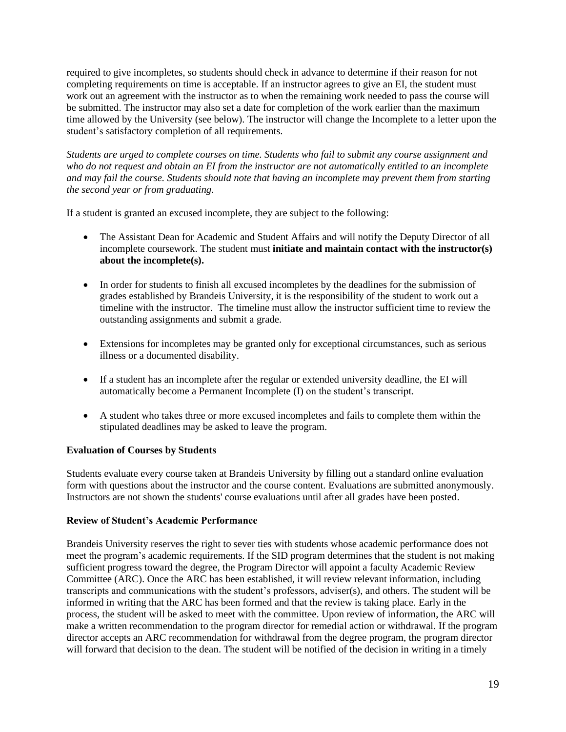required to give incompletes, so students should check in advance to determine if their reason for not completing requirements on time is acceptable. If an instructor agrees to give an EI, the student must work out an agreement with the instructor as to when the remaining work needed to pass the course will be submitted. The instructor may also set a date for completion of the work earlier than the maximum time allowed by the University (see below). The instructor will change the Incomplete to a letter upon the student's satisfactory completion of all requirements.

*Students are urged to complete courses on time. Students who fail to submit any course assignment and who do not request and obtain an EI from the instructor are not automatically entitled to an incomplete and may fail the course. Students should note that having an incomplete may prevent them from starting the second year or from graduating.*

If a student is granted an excused incomplete, they are subject to the following:

- The Assistant Dean for Academic and Student Affairs and will notify the Deputy Director of all incomplete coursework. The student must **initiate and maintain contact with the instructor(s) about the incomplete(s).**
- In order for students to finish all excused incompletes by the deadlines for the submission of grades established by Brandeis University, it is the responsibility of the student to work out a timeline with the instructor. The timeline must allow the instructor sufficient time to review the outstanding assignments and submit a grade.
- Extensions for incompletes may be granted only for exceptional circumstances, such as serious illness or a documented disability.
- If a student has an incomplete after the regular or extended university deadline, the EI will automatically become a Permanent Incomplete (I) on the student's transcript.
- A student who takes three or more excused incompletes and fails to complete them within the stipulated deadlines may be asked to leave the program.

# <span id="page-21-0"></span>**Evaluation of Courses by Students**

Students evaluate every course taken at Brandeis University by filling out a standard online evaluation form with questions about the instructor and the course content. Evaluations are submitted anonymously. Instructors are not shown the students' course evaluations until after all grades have been posted.

# <span id="page-21-1"></span>**Review of Student's Academic Performance**

Brandeis University reserves the right to sever ties with students whose academic performance does not meet the program's academic requirements. If the SID program determines that the student is not making sufficient progress toward the degree, the Program Director will appoint a faculty Academic Review Committee (ARC). Once the ARC has been established, it will review relevant information, including transcripts and communications with the student's professors, adviser(s), and others. The student will be informed in writing that the ARC has been formed and that the review is taking place. Early in the process, the student will be asked to meet with the committee. Upon review of information, the ARC will make a written recommendation to the program director for remedial action or withdrawal. If the program director accepts an ARC recommendation for withdrawal from the degree program, the program director will forward that decision to the dean. The student will be notified of the decision in writing in a timely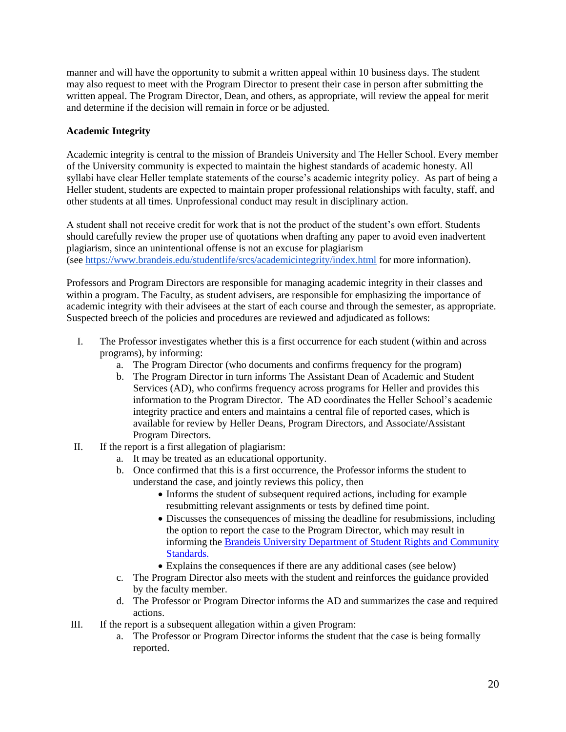manner and will have the opportunity to submit a written appeal within 10 business days. The student may also request to meet with the Program Director to present their case in person after submitting the written appeal. The Program Director, Dean, and others, as appropriate, will review the appeal for merit and determine if the decision will remain in force or be adjusted.

#### <span id="page-22-0"></span>**Academic Integrity**

Academic integrity is central to the mission of Brandeis University and The Heller School. Every member of the University community is expected to maintain the highest standards of academic honesty. All syllabi have clear Heller template statements of the course's academic integrity policy. As part of being a Heller student, students are expected to maintain proper professional relationships with faculty, staff, and other students at all times. Unprofessional conduct may result in disciplinary action.

A student shall not receive credit for work that is not the product of the student's own effort. Students should carefully review the proper use of quotations when drafting any paper to avoid even inadvertent plagiarism, since an unintentional offense is not an excuse for plagiarism (see<https://www.brandeis.edu/studentlife/srcs/academicintegrity/index.html> for more information).

Professors and Program Directors are responsible for managing academic integrity in their classes and within a program. The Faculty, as student advisers, are responsible for emphasizing the importance of academic integrity with their advisees at the start of each course and through the semester, as appropriate. Suspected breech of the policies and procedures are reviewed and adjudicated as follows:

- I. The Professor investigates whether this is a first occurrence for each student (within and across programs), by informing:
	- a. The Program Director (who documents and confirms frequency for the program)
	- b. The Program Director in turn informs The Assistant Dean of Academic and Student Services (AD), who confirms frequency across programs for Heller and provides this information to the Program Director. The AD coordinates the Heller School's academic integrity practice and enters and maintains a central file of reported cases, which is available for review by Heller Deans, Program Directors, and Associate/Assistant Program Directors.
- II. If the report is a first allegation of plagiarism:
	- a. It may be treated as an educational opportunity.
	- b. Once confirmed that this is a first occurrence, the Professor informs the student to understand the case, and jointly reviews this policy, then
		- Informs the student of subsequent required actions, including for example resubmitting relevant assignments or tests by defined time point.
		- Discusses the consequences of missing the deadline for resubmissions, including the option to report the case to the Program Director, which may result in informing the [Brandeis University Department of Student Rights and Community](https://www.brandeis.edu/studentlife/srcs/)  [Standards.](https://www.brandeis.edu/studentlife/srcs/)
		- Explains the consequences if there are any additional cases (see below)
	- c. The Program Director also meets with the student and reinforces the guidance provided by the faculty member.
	- d. The Professor or Program Director informs the AD and summarizes the case and required actions.
- III. If the report is a subsequent allegation within a given Program:
	- a. The Professor or Program Director informs the student that the case is being formally reported.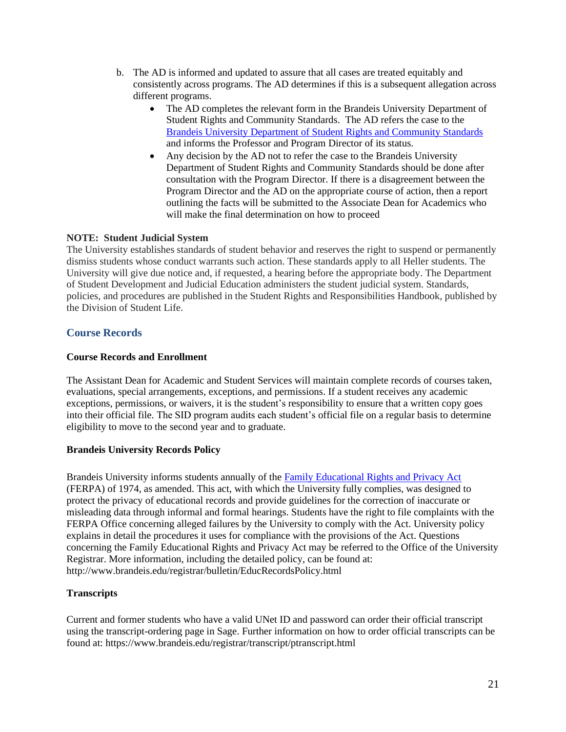- b. The AD is informed and updated to assure that all cases are treated equitably and consistently across programs. The AD determines if this is a subsequent allegation across different programs.
	- The AD completes the relevant form in the Brandeis University Department of Student Rights and Community Standards. The AD refers the case to the [Brandeis University Department of Student Rights and Community Standards](https://www.brandeis.edu/studentlife/srcs/) and informs the Professor and Program Director of its status.
	- Any decision by the AD not to refer the case to the Brandeis University Department of Student Rights and Community Standards should be done after consultation with the Program Director. If there is a disagreement between the Program Director and the AD on the appropriate course of action, then a report outlining the facts will be submitted to the Associate Dean for Academics who will make the final determination on how to proceed

#### **NOTE: Student Judicial System**

The University establishes standards of student behavior and reserves the right to suspend or permanently dismiss students whose conduct warrants such action. These standards apply to all Heller students. The University will give due notice and, if requested, a hearing before the appropriate body. The Department of Student Development and Judicial Education administers the student judicial system. Standards, policies, and procedures are published in the Student Rights and Responsibilities Handbook, published by the Division of Student Life.

# <span id="page-23-0"></span>**Course Records**

#### <span id="page-23-1"></span>**Course Records and Enrollment**

The Assistant Dean for Academic and Student Services will maintain complete records of courses taken, evaluations, special arrangements, exceptions, and permissions. If a student receives any academic exceptions, permissions, or waivers, it is the student's responsibility to ensure that a written copy goes into their official file. The SID program audits each student's official file on a regular basis to determine eligibility to move to the second year and to graduate.

#### <span id="page-23-2"></span>**Brandeis University Records Policy**

Brandeis University informs students annually of the [Family Educational Rights and Privacy Act](https://www2.ed.gov/policy/gen/guid/fpco/ferpa/index.html) (FERPA) of 1974, as amended. This act, with which the University fully complies, was designed to protect the privacy of educational records and provide guidelines for the correction of inaccurate or misleading data through informal and formal hearings. Students have the right to file complaints with the FERPA Office concerning alleged failures by the University to comply with the Act. University policy explains in detail the procedures it uses for compliance with the provisions of the Act. Questions concerning the Family Educational Rights and Privacy Act may be referred to the Office of the University Registrar. More information, including the detailed policy, can be found at: http://www.brandeis.edu/registrar/bulletin/EducRecordsPolicy.html

#### <span id="page-23-3"></span>**Transcripts**

Current and former students who have a valid UNet ID and password can order their official transcript using the transcript-ordering page in Sage. Further information on how to order official transcripts can be found at: https://www.brandeis.edu/registrar/transcript/ptranscript.html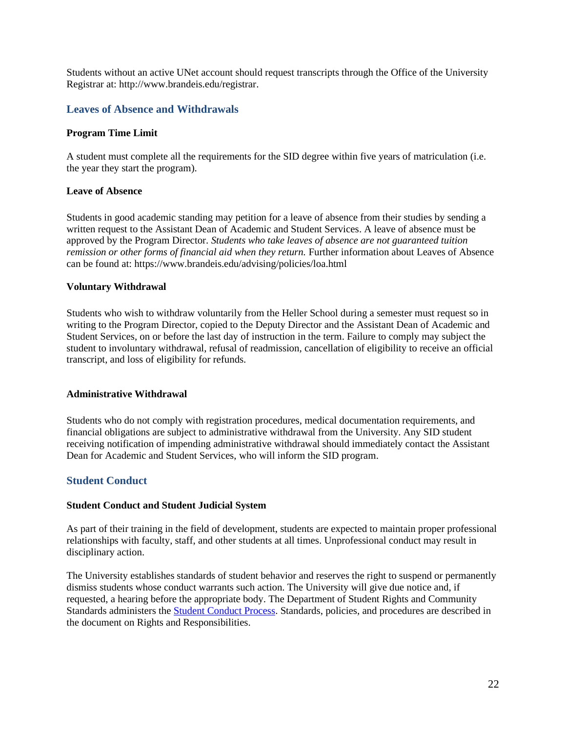Students without an active UNet account should request transcripts through the Office of the University Registrar at: [http://www.brandeis.edu/registrar.](http://www.brandeis.edu/registrar)

#### <span id="page-24-0"></span>**Leaves of Absence and Withdrawals**

#### <span id="page-24-1"></span>**Program Time Limit**

A student must complete all the requirements for the SID degree within five years of matriculation (i.e. the year they start the program).

#### <span id="page-24-2"></span>**Leave of Absence**

Students in good academic standing may petition for a leave of absence from their studies by sending a written request to the Assistant Dean of Academic and Student Services. A leave of absence must be approved by the Program Director. *Students who take leaves of absence are not guaranteed tuition remission or other forms of financial aid when they return.* Further information about Leaves of Absence can be found at: https://www.brandeis.edu/advising/policies/loa.html

#### <span id="page-24-3"></span>**Voluntary Withdrawal**

Students who wish to withdraw voluntarily from the Heller School during a semester must request so in writing to the Program Director, copied to the Deputy Director and the Assistant Dean of Academic and Student Services, on or before the last day of instruction in the term. Failure to comply may subject the student to involuntary withdrawal, refusal of readmission, cancellation of eligibility to receive an official transcript, and loss of eligibility for refunds.

#### <span id="page-24-4"></span>**Administrative Withdrawal**

Students who do not comply with registration procedures, medical documentation requirements, and financial obligations are subject to administrative withdrawal from the University. Any SID student receiving notification of impending administrative withdrawal should immediately contact the Assistant Dean for Academic and Student Services, who will inform the SID program.

#### <span id="page-24-5"></span>**Student Conduct**

#### **Student Conduct and Student Judicial System**

As part of their training in the field of development, students are expected to maintain proper professional relationships with faculty, staff, and other students at all times. Unprofessional conduct may result in disciplinary action.

The University establishes standards of student behavior and reserves the right to suspend or permanently dismiss students whose conduct warrants such action. The University will give due notice and, if requested, a hearing before the appropriate body. The Department of Student Rights and Community Standards administers the [Student Conduct Process.](http://www.brandeis.edu/studentlife/srcs/) Standards, policies, and procedures are described in the document on Rights and Responsibilities.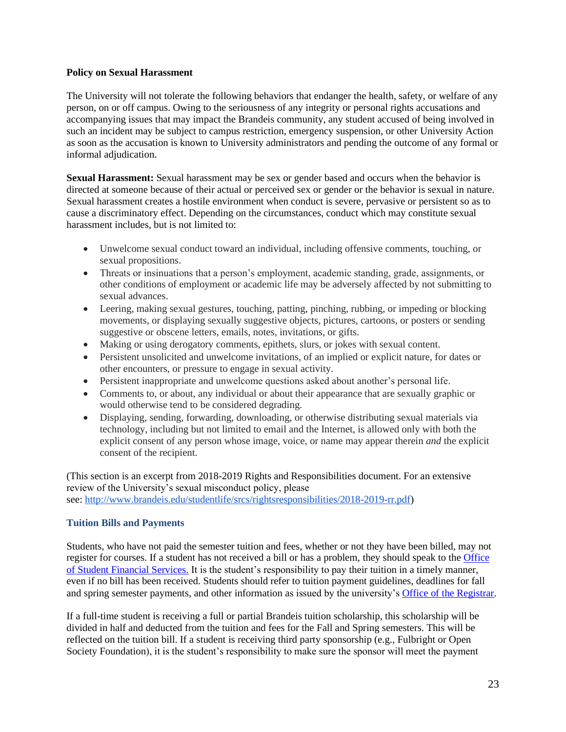#### **Policy on Sexual Harassment**

The University will not tolerate the following behaviors that endanger the health, safety, or welfare of any person, on or off campus. Owing to the seriousness of any integrity or personal rights accusations and accompanying issues that may impact the Brandeis community, any student accused of being involved in such an incident may be subject to campus restriction, emergency suspension, or other University Action as soon as the accusation is known to University administrators and pending the outcome of any formal or informal adjudication.

**Sexual Harassment:** Sexual harassment may be sex or gender based and occurs when the behavior is directed at someone because of their actual or perceived sex or gender or the behavior is sexual in nature. Sexual harassment creates a hostile environment when conduct is severe, pervasive or persistent so as to cause a discriminatory effect. Depending on the circumstances, conduct which may constitute sexual harassment includes, but is not limited to:

- Unwelcome sexual conduct toward an individual, including offensive comments, touching, or sexual propositions.
- Threats or insinuations that a person's employment, academic standing, grade, assignments, or other conditions of employment or academic life may be adversely affected by not submitting to sexual advances.
- Leering, making sexual gestures, touching, patting, pinching, rubbing, or impeding or blocking movements, or displaying sexually suggestive objects, pictures, cartoons, or posters or sending suggestive or obscene letters, emails, notes, invitations, or gifts.
- Making or using derogatory comments, epithets, slurs, or jokes with sexual content.
- Persistent unsolicited and unwelcome invitations, of an implied or explicit nature, for dates or other encounters, or pressure to engage in sexual activity.
- Persistent inappropriate and unwelcome questions asked about another's personal life.
- Comments to, or about, any individual or about their appearance that are sexually graphic or would otherwise tend to be considered degrading.
- Displaying, sending, forwarding, downloading, or otherwise distributing sexual materials via technology, including but not limited to email and the Internet, is allowed only with both the explicit consent of any person whose image, voice, or name may appear therein *and* the explicit consent of the recipient.

(This section is an excerpt from 2018-2019 Rights and Responsibilities document. For an extensive review of the University's sexual misconduct policy, please see: [http://www.brandeis.edu/studentlife/srcs/rightsresponsibilities/2018-2019-rr.pdf\)](http://www.brandeis.edu/studentlife/srcs/rightsresponsibilities/2018-2019-rr.pdf)

# <span id="page-25-0"></span>**Tuition Bills and Payments**

Students, who have not paid the semester tuition and fees, whether or not they have been billed, may not register for courses. If a student has not received a bill or has a problem, they should speak to the [Office](http://www.brandeis.edu/student-financial-services/)  [of Student Financial Services.](http://www.brandeis.edu/student-financial-services/) It is the student's responsibility to pay their tuition in a timely manner, even if no bill has been received. Students should refer to tuition payment guidelines, deadlines for fall and spring semester payments, and other information as issued by the university's [Office of the Registrar.](http://www.brandeis.edu/registrar/bulletin/provisional/college/tuition.html)

If a full-time student is receiving a full or partial Brandeis tuition scholarship, this scholarship will be divided in half and deducted from the tuition and fees for the Fall and Spring semesters. This will be reflected on the tuition bill. If a student is receiving third party sponsorship (e.g., Fulbright or Open Society Foundation), it is the student's responsibility to make sure the sponsor will meet the payment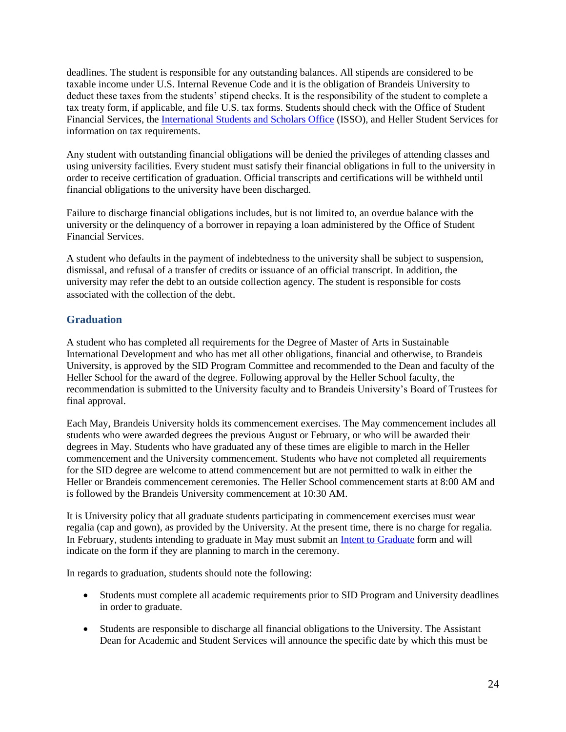deadlines. The student is responsible for any outstanding balances. All stipends are considered to be taxable income under U.S. Internal Revenue Code and it is the obligation of Brandeis University to deduct these taxes from the students' stipend checks. It is the responsibility of the student to complete a tax treaty form, if applicable, and file U.S. tax forms. Students should check with the [Office of Student](http://www.brandeis.edu/offices/sfs/)  [Financial Services,](http://www.brandeis.edu/offices/sfs/) the [International Students and Scholars Office](https://www.brandeis.edu/isso/) (ISSO), and Heller Student Services for information on tax requirements.

Any student with outstanding financial obligations will be denied the privileges of attending classes and using university facilities. Every student must satisfy their financial obligations in full to the university in order to receive certification of graduation. Official transcripts and certifications will be withheld until financial obligations to the university have been discharged.

Failure to discharge financial obligations includes, but is not limited to, an overdue balance with the university or the delinquency of a borrower in repaying a loan administered by the [Office of Student](http://heller.brandeis.edu/students/)  [Financial Services.](http://heller.brandeis.edu/students/)

A student who defaults in the payment of indebtedness to the university shall be subject to suspension, dismissal, and refusal of a transfer of credits or issuance of an official transcript. In addition, the university may refer the debt to an outside collection agency. The student is responsible for costs associated with the collection of the debt.

# **Graduation**

A student who has completed all requirements for the Degree of Master of Arts in Sustainable International Development and who has met all other obligations, financial and otherwise, to Brandeis University, is approved by the SID Program Committee and recommended to the Dean and faculty of the Heller School for the award of the degree. Following approval by the Heller School faculty, the recommendation is submitted to the University faculty and to Brandeis University's Board of Trustees for final approval.

Each May, Brandeis University holds its commencement exercises. The May commencement includes all students who were awarded degrees the previous August or February, or who will be awarded their degrees in May. Students who have graduated any of these times are eligible to march in the Heller commencement and the University commencement. Students who have not completed all requirements for the SID degree are welcome to attend commencement but are not permitted to walk in either the Heller or Brandeis commencement ceremonies. The Heller School commencement starts at 8:00 AM and is followed by the Brandeis University commencement at 10:30 AM.

It is University policy that all graduate students participating in commencement exercises must wear regalia (cap and gown), as provided by the University. At the present time, there is no charge for regalia. In February, students intending to graduate in May must submit an [Intent to Graduate](https://www.brandeis.edu/registrar/forms/graddegree.html) form and will indicate on the form if they are planning to march in the ceremony.

In regards to graduation, students should note the following:

- Students must complete all academic requirements prior to SID Program and University deadlines in order to graduate.
- Students are responsible to discharge all financial obligations to the University. The Assistant Dean for Academic and Student Services will announce the specific date by which this must be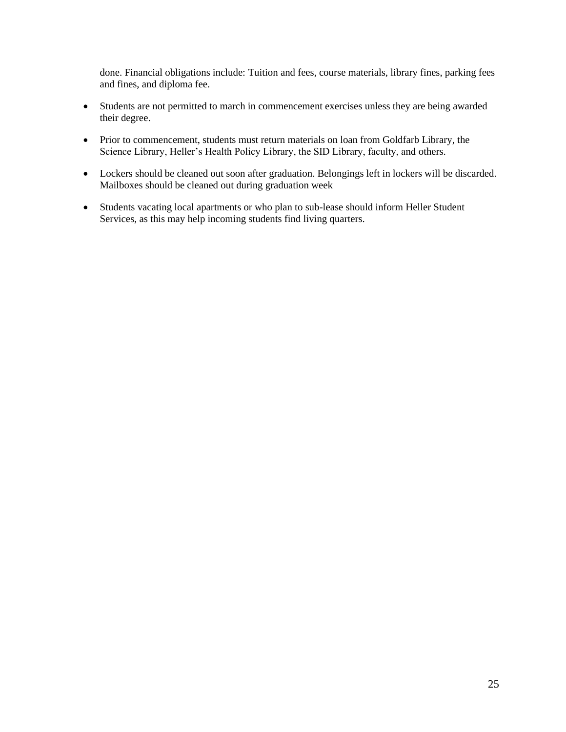done. Financial obligations include: Tuition and fees, course materials, library fines, parking fees and fines, and diploma fee.

- Students are not permitted to march in commencement exercises unless they are being awarded their degree.
- Prior to commencement, students must return materials on loan from Goldfarb Library, the Science Library, Heller's Health Policy Library, the SID Library, faculty, and others.
- Lockers should be cleaned out soon after graduation. Belongings left in lockers will be discarded. Mailboxes should be cleaned out during graduation week
- Students vacating local apartments or who plan to sub-lease should inform Heller Student Services, as this may help incoming students find living quarters.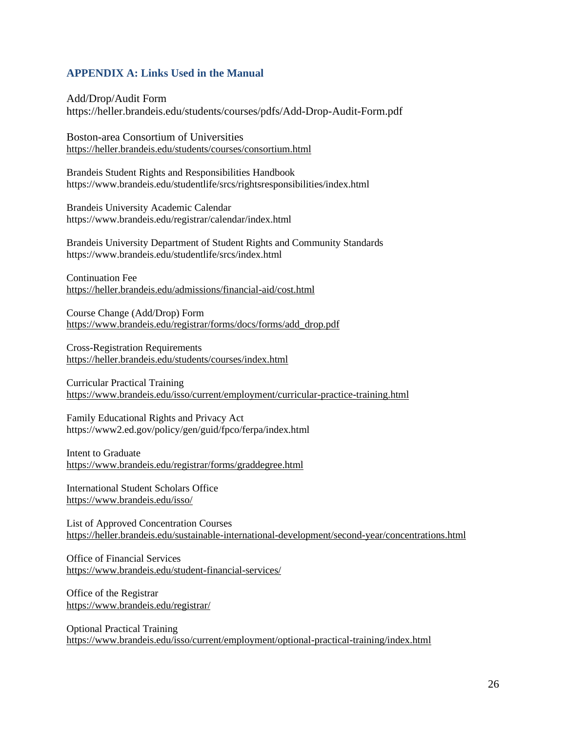# **APPENDIX A: Links Used in the Manual**

Add/Drop/Audit Form https://heller.brandeis.edu/students/courses/pdfs/Add-Drop-Audit-Form.pdf

Boston-area Consortium of Universities <https://heller.brandeis.edu/students/courses/consortium.html>

Brandeis Student Rights and Responsibilities Handbook https://www.brandeis.edu/studentlife/srcs/rightsresponsibilities/index.html

Brandeis University Academic Calendar https://www.brandeis.edu/registrar/calendar/index.html

Brandeis University Department of Student Rights and Community Standards https://www.brandeis.edu/studentlife/srcs/index.html

Continuation Fee <https://heller.brandeis.edu/admissions/financial-aid/cost.html>

Course Change (Add/Drop) Form [https://www.brandeis.edu/registrar/forms/docs/forms/add\\_drop.pdf](https://www.brandeis.edu/registrar/forms/docs/forms/add_drop.pdf)

Cross-Registration Requirements <https://heller.brandeis.edu/students/courses/index.html>

Curricular Practical Training <https://www.brandeis.edu/isso/current/employment/curricular-practice-training.html>

Family Educational Rights and Privacy Act https://www2.ed.gov/policy/gen/guid/fpco/ferpa/index.html

Intent to Graduate <https://www.brandeis.edu/registrar/forms/graddegree.html>

International Student Scholars Office <https://www.brandeis.edu/isso/>

List of Approved Concentration Courses <https://heller.brandeis.edu/sustainable-international-development/second-year/concentrations.html>

Office of Financial Services <https://www.brandeis.edu/student-financial-services/>

Office of the Registrar <https://www.brandeis.edu/registrar/>

Optional Practical Training <https://www.brandeis.edu/isso/current/employment/optional-practical-training/index.html>